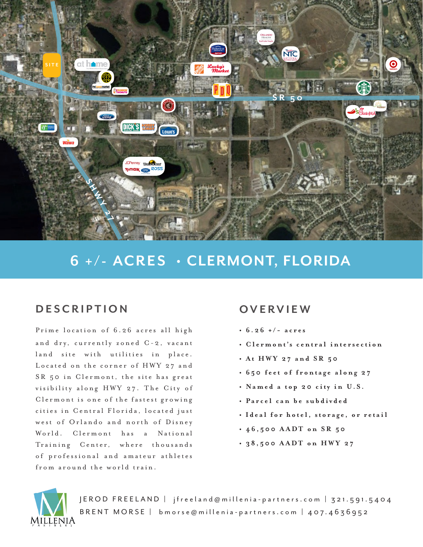

## **6 + / - AC R E S • CLERMONT, FLORIDA**

## **DESCRIPTION**

Prime location of 6.26 acres all high and dry, currently zoned C-2, vacant land site with utilities in place. Located on the corner of HWY 27 and SR 50 in Clermont, the site has great visibility along HWY 27. The City of Clermont is one of the fastest growing cities in Central Florida, located just west of Orlando and north of Disney World. Clermont has a National Training Center, where thousands of professional and amateur athletes from around the world train.

## **OVERVIEW**

- $\cdot$  6.26 +/- acres
- **Clermont's central intersection**
- **At HWY 27 and SR 50**
- **650 feet of frontage along 27**
- **Named a top 20 city in U.S.**
- **Pa r c e l c a n b e s u b d i v d e d**
- **Ideal for hotel, storage, or retail**
- **46,500 AADT on SR 50**
- **38,500 AADT on HWY 27**



JEROD FREELAND | jfreeland@millenia-partners.com | 321.591.5404 BRENT MORSE | bmorse@millenia-partners.com | 407.4636952